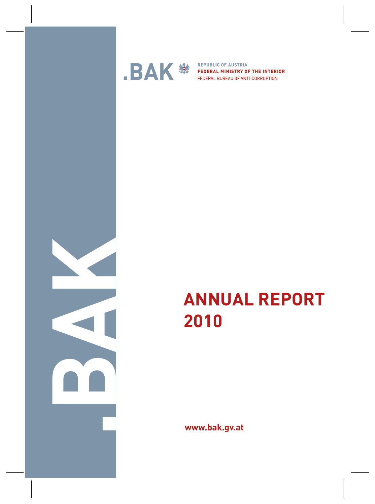

**BAK**<sup>3</sup>

**www.bak.gv.at**

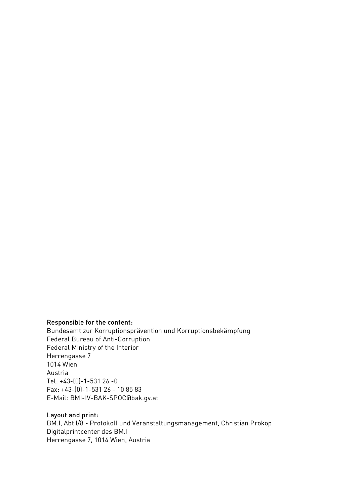#### Responsible for the content:

Bundesamt zur Korruptionsprävention und Korruptionsbekämpfung Federal Bureau of Anti-Corruption Federal Ministry of the Interior Herrengasse 7 1014 Wien Austria Tel: +43-(0)-1-531 26 -0 Fax: +43-(0)-1-531 26 - 10 85 83 E-Mail: BMI-IV-BAK-SPOC@bak.gv.at

#### Layout and print:

BM.I, Abt I/8 - Protokoll und Veranstaltungsmanagement, Christian Prokop Digitalprintcenter des BM.I Herrengasse 7, 1014 Wien, Austria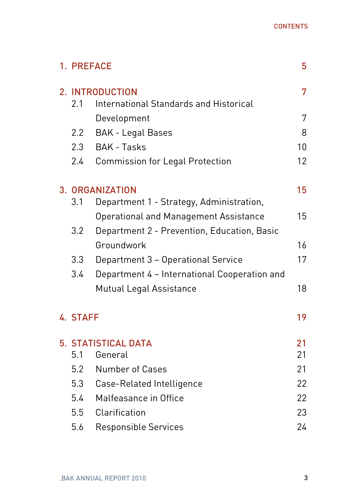| 1. PREFACE                 |                                               | 5  |
|----------------------------|-----------------------------------------------|----|
| 2. INTRODUCTION            |                                               | 7  |
| 2.1                        | <b>International Standards and Historical</b> |    |
|                            | Development                                   | 7  |
| $2.2^{\circ}$              | <b>BAK - Legal Bases</b>                      | 8  |
| 2.3                        | <b>BAK - Tasks</b>                            | 10 |
| $2.4^{\circ}$              | <b>Commission for Legal Protection</b>        | 12 |
|                            | 3. ORGANIZATION                               | 15 |
| 3.1                        | Department 1 - Strategy, Administration,      |    |
|                            | <b>Operational and Management Assistance</b>  | 15 |
| 3.2                        | Department 2 - Prevention, Education, Basic   |    |
|                            | Groundwork                                    | 16 |
| 3.3                        | Department 3 - Operational Service            | 17 |
| 3.4                        | Department 4 - International Cooperation and  |    |
|                            | <b>Mutual Legal Assistance</b>                | 18 |
| 4. STAFF                   |                                               | 19 |
| <b>5. STATISTICAL DATA</b> |                                               | 21 |
| 5.1                        | General                                       | 21 |
|                            | 5.2 Number of Cases                           | 21 |
| 5.3                        | Case-Related Intelligence                     | 22 |
| 5.4                        | Malfeasance in Office                         | 22 |
| 5.5                        | Clarification                                 | 23 |
| 5.6                        | <b>Responsible Services</b>                   | 24 |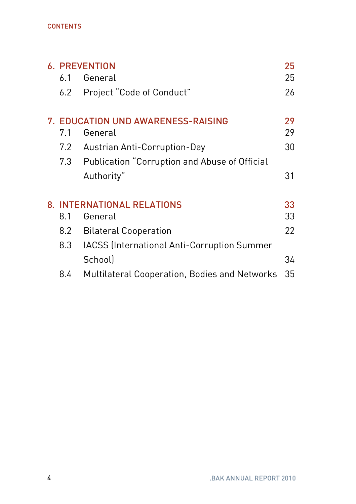#### **CONTENTS**

| <b>6. PREVENTION</b> |                                                    |    |
|----------------------|----------------------------------------------------|----|
| 6.1                  | General                                            | 25 |
| 6.2                  | Project "Code of Conduct"                          | 26 |
|                      | 7. EDUCATION UND AWARENESS-RAISING                 | 29 |
| 7.1                  | General                                            | 29 |
| 7.2                  | Austrian Anti-Corruption-Day                       | 30 |
| 7.3                  | Publication "Corruption and Abuse of Official      |    |
|                      | Authority"                                         | 31 |
|                      | 8. INTERNATIONAL RELATIONS                         | 33 |
| 8.1                  | General                                            | 33 |
| 8.2                  | <b>Bilateral Cooperation</b>                       | 22 |
| 8.3                  | <b>IACSS</b> (International Anti-Corruption Summer |    |
|                      | School                                             | 34 |
| 8.4                  | Multilateral Cooperation, Bodies and Networks      | 35 |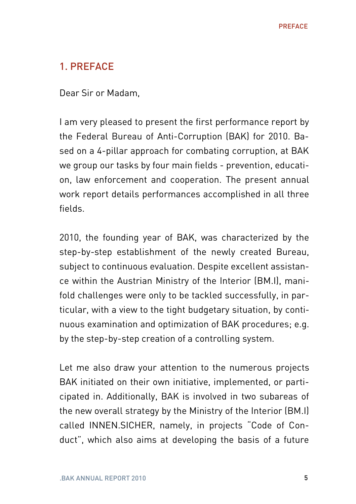# 1. PREFACE

Dear Sir or Madam,

I am very pleased to present the first performance report by the Federal Bureau of Anti-Corruption (BAK) for 2010. Based on a 4-pillar approach for combating corruption, at BAK we group our tasks by four main fields - prevention, education, law enforcement and cooperation. The present annual work report details performances accomplished in all three fields.

2010, the founding year of BAK, was characterized by the step-by-step establishment of the newly created Bureau, subject to continuous evaluation. Despite excellent assistance within the Austrian Ministry of the Interior (BM.I), manifold challenges were only to be tackled successfully, in particular, with a view to the tight budgetary situation, by continuous examination and optimization of BAK procedures; e.g. by the step-by-step creation of a controlling system.

Let me also draw your attention to the numerous projects BAK initiated on their own initiative, implemented, or participated in. Additionally, BAK is involved in two subareas of the new overall strategy by the Ministry of the Interior (BM.I) called INNEN.SICHER, namely, in projects "Code of Conduct", which also aims at developing the basis of a future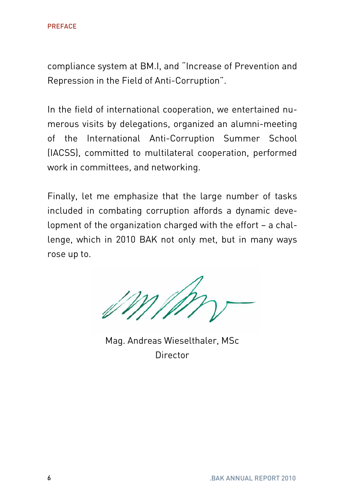compliance system at BM.I, and "Increase of Prevention and Repression in the Field of Anti-Corruption".

In the field of international cooperation, we entertained numerous visits by delegations, organized an alumni-meeting of the International Anti-Corruption Summer School (IACSS), committed to multilateral cooperation, performed work in committees, and networking.

Finally, let me emphasize that the large number of tasks included in combating corruption affords a dynamic development of the organization charged with the effort – a challenge, which in 2010 BAK not only met, but in many ways rose up to.

Mag. Andreas Wieselthaler, MSc Director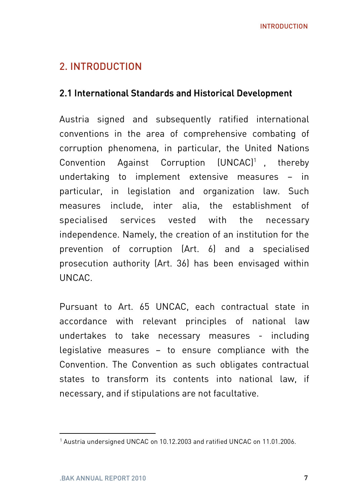# 2. INTRODUCTION

#### 2.1 International Standards and Historical Development

Austria signed and subsequently ratified international conventions in the area of comprehensive combating of corruption phenomena, in particular, the United Nations Convention Against Corruption (UNCAC)1 , thereby undertaking to implement extensive measures – in particular, in legislation and organization law. Such measures include, inter alia, the establishment of specialised services vested with the necessary independence. Namely, the creation of an institution for the prevention of corruption (Art. 6) and a specialised prosecution authority (Art. 36) has been envisaged within UNCAC.

Pursuant to Art. 65 UNCAC, each contractual state in accordance with relevant principles of national law undertakes to take necessary measures - including legislative measures – to ensure compliance with the Convention. The Convention as such obligates contractual states to transform its contents into national law, if necessary, and if stipulations are not facultative.

<sup>&</sup>lt;sup>1</sup> Austria undersigned UNCAC on 10.12.2003 and ratified UNCAC on 11.01.2006.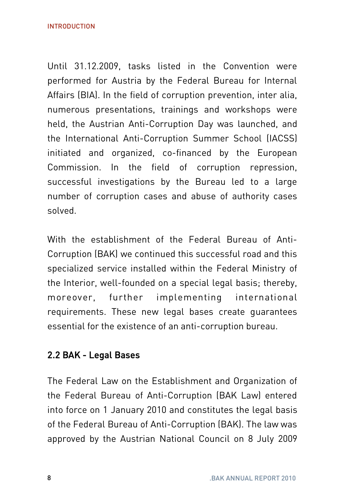Until 31.12.2009, tasks listed in the Convention were performed for Austria by the Federal Bureau for Internal Affairs (BIA). In the field of corruption prevention, inter alia, numerous presentations, trainings and workshops were held, the Austrian Anti-Corruption Day was launched, and the International Anti-Corruption Summer School (IACSS) initiated and organized, co-financed by the European Commission. In the field of corruption repression, successful investigations by the Bureau led to a large number of corruption cases and abuse of authority cases solved.

With the establishment of the Federal Bureau of Anti-Corruption (BAK) we continued this successful road and this specialized service installed within the Federal Ministry of the Interior, well-founded on a special legal basis; thereby, moreover, further implementing international requirements. These new legal bases create guarantees essential for the existence of an anti-corruption bureau.

## 2.2 BAK - Legal Bases

The Federal Law on the Establishment and Organization of the Federal Bureau of Anti-Corruption (BAK Law) entered into force on 1 January 2010 and constitutes the legal basis of the Federal Bureau of Anti-Corruption (BAK). The law was approved by the Austrian National Council on 8 July 2009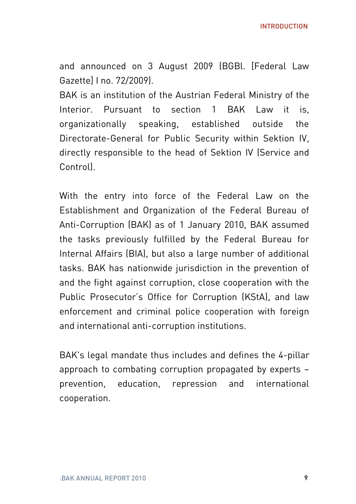INTRODUCTION

and announced on 3 August 2009 (BGBl. [Federal Law Gazette] I no. 72/2009).

BAK is an institution of the Austrian Federal Ministry of the Interior. Pursuant to section 1 BAK Law it is organizationally speaking, established outside the Directorate-General for Public Security within Sektion IV, directly responsible to the head of Sektion IV (Service and Control).

With the entry into force of the Federal Law on the Establishment and Organization of the Federal Bureau of Anti-Corruption (BAK) as of 1 January 2010, BAK assumed the tasks previously fulfilled by the Federal Bureau for Internal Affairs (BIA), but also a large number of additional tasks. BAK has nationwide jurisdiction in the prevention of and the fight against corruption, close cooperation with the Public Prosecutor's Office for Corruption (KStA), and law enforcement and criminal police cooperation with foreign and international anti-corruption institutions.

BAK's legal mandate thus includes and defines the 4-pillar approach to combating corruption propagated by experts – prevention, education, repression and international cooperation.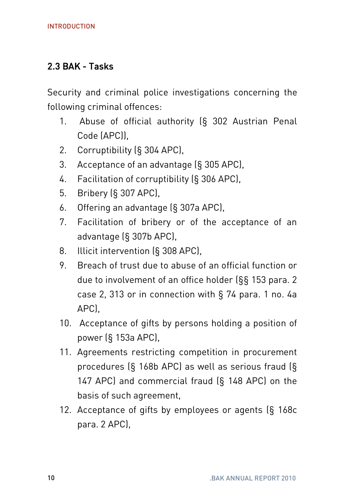#### 2.3 BAK - Tasks

Security and criminal police investigations concerning the following criminal offences:

- 1. Abuse of official authority (§ 302 Austrian Penal Code (APC)),
- 2. Corruptibility (§ 304 APC),
- 3. Acceptance of an advantage (§ 305 APC),
- 4. Facilitation of corruptibility (§ 306 APC),
- 5. Bribery (§ 307 APC),
- 6. Offering an advantage (§ 307a APC),
- 7. Facilitation of bribery or of the acceptance of an advantage (§ 307b APC),
- 8. Illicit intervention (§ 308 APC),
- 9. Breach of trust due to abuse of an official function or due to involvement of an office holder (§§ 153 para. 2 case 2, 313 or in connection with § 74 para. 1 no. 4a APC),
- 10. Acceptance of gifts by persons holding a position of power (§ 153a APC),
- 11. Agreements restricting competition in procurement procedures (§ 168b APC) as well as serious fraud (§ 147 APC) and commercial fraud (§ 148 APC) on the basis of such agreement,
- 12. Acceptance of gifts by employees or agents (§ 168c para. 2 APC),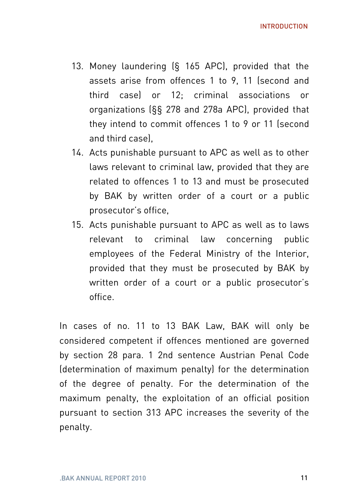- 13. Money laundering (§ 165 APC), provided that the assets arise from offences 1 to 9, 11 (second and third case) or 12; criminal associations or organizations (§§ 278 and 278a APC), provided that they intend to commit offences 1 to 9 or 11 (second and third case),
- 14. Acts punishable pursuant to APC as well as to other laws relevant to criminal law, provided that they are related to offences 1 to 13 and must be prosecuted by BAK by written order of a court or a public prosecutor's office,
- 15. Acts punishable pursuant to APC as well as to laws relevant to criminal law concerning public employees of the Federal Ministry of the Interior, provided that they must be prosecuted by BAK by written order of a court or a public prosecutor's office.

In cases of no. 11 to 13 BAK Law, BAK will only be considered competent if offences mentioned are governed by section 28 para. 1 2nd sentence Austrian Penal Code (determination of maximum penalty) for the determination of the degree of penalty. For the determination of the maximum penalty, the exploitation of an official position pursuant to section 313 APC increases the severity of the penalty.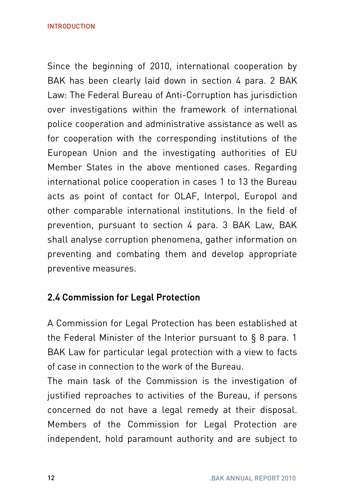Since the beginning of 2010, international cooperation by BAK has been clearly laid down in section 4 para. 2 BAK Law: The Federal Bureau of Anti-Corruption has jurisdiction over investigations within the framework of international police cooperation and administrative assistance as well as for cooperation with the corresponding institutions of the European Union and the investigating authorities of EU Member States in the above mentioned cases. Regarding international police cooperation in cases 1 to 13 the Bureau acts as point of contact for OLAF, Interpol, Europol and other comparable international institutions. In the field of prevention, pursuant to section 4 para. 3 BAK Law, BAK shall analyse corruption phenomena, gather information on preventing and combating them and develop appropriate preventive measures.

## 2.4 Commission for Legal Protection

A Commission for Legal Protection has been established at the Federal Minister of the Interior pursuant to § 8 para. 1 BAK Law for particular legal protection with a view to facts of case in connection to the work of the Bureau.

The main task of the Commission is the investigation of justified reproaches to activities of the Bureau, if persons concerned do not have a legal remedy at their disposal. Members of the Commission for Legal Protection are independent, hold paramount authority and are subject to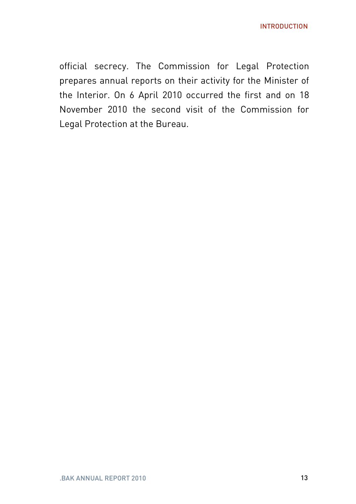official secrecy. The Commission for Legal Protection prepares annual reports on their activity for the Minister of the Interior. On 6 April 2010 occurred the first and on 18 November 2010 the second visit of the Commission for Legal Protection at the Bureau.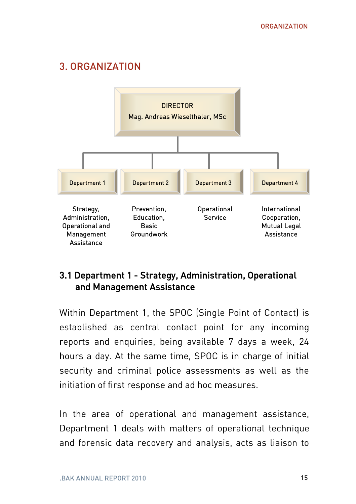# 3. ORGANIZATION



#### 3.1 Department 1 - Strategy, Administration, Operational and Management Assistance

Within Department 1, the SPOC (Single Point of Contact) is established as central contact point for any incoming reports and enquiries, being available 7 days a week, 24 hours a day. At the same time, SPOC is in charge of initial security and criminal police assessments as well as the initiation of first response and ad hoc measures.

In the area of operational and management assistance, Department 1 deals with matters of operational technique and forensic data recovery and analysis, acts as liaison to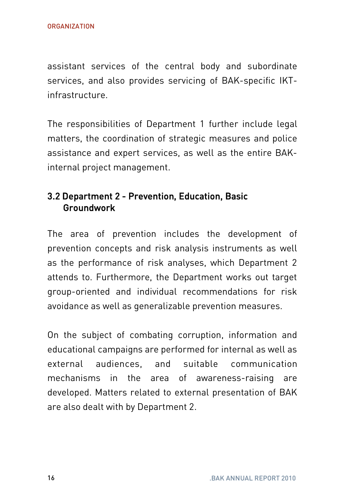assistant services of the central body and subordinate services, and also provides servicing of BAK-specific IKTinfrastructure.

The responsibilities of Department 1 further include legal matters, the coordination of strategic measures and police assistance and expert services, as well as the entire BAKinternal project management.

#### 3.2 Department 2 - Prevention, Education, Basic Groundwork

The area of prevention includes the development of prevention concepts and risk analysis instruments as well as the performance of risk analyses, which Department 2 attends to. Furthermore, the Department works out target group-oriented and individual recommendations for risk avoidance as well as generalizable prevention measures.

On the subject of combating corruption, information and educational campaigns are performed for internal as well as external audiences, and suitable communication mechanisms in the area of awareness-raising are developed. Matters related to external presentation of BAK are also dealt with by Department 2.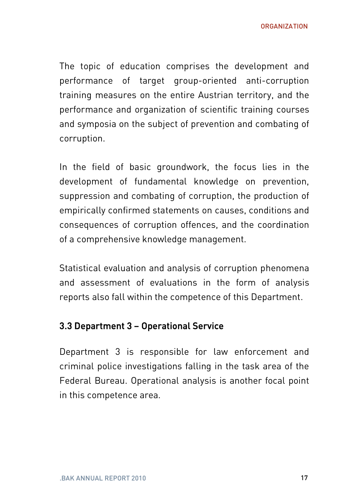ORGANIZATION

The topic of education comprises the development and performance of target group-oriented anti-corruption training measures on the entire Austrian territory, and the performance and organization of scientific training courses and symposia on the subject of prevention and combating of corruption.

In the field of basic groundwork, the focus lies in the development of fundamental knowledge on prevention, suppression and combating of corruption, the production of empirically confirmed statements on causes, conditions and consequences of corruption offences, and the coordination of a comprehensive knowledge management.

Statistical evaluation and analysis of corruption phenomena and assessment of evaluations in the form of analysis reports also fall within the competence of this Department.

#### 3.3 Department 3 – Operational Service

Department 3 is responsible for law enforcement and criminal police investigations falling in the task area of the Federal Bureau. Operational analysis is another focal point in this competence area.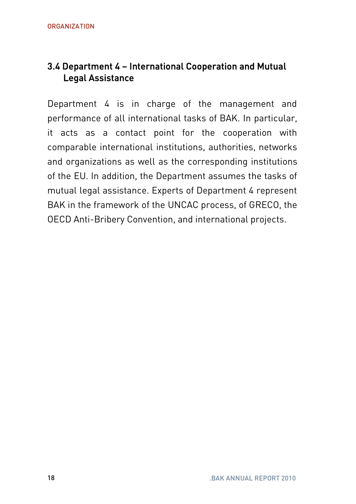## 3.4 Department 4 – International Cooperation and Mutual Legal Assistance

Department 4 is in charge of the management and performance of all international tasks of BAK. In particular, it acts as a contact point for the cooperation with comparable international institutions, authorities, networks and organizations as well as the corresponding institutions of the EU. In addition, the Department assumes the tasks of mutual legal assistance. Experts of Department 4 represent BAK in the framework of the UNCAC process, of GRECO, the OECD Anti-Bribery Convention, and international projects.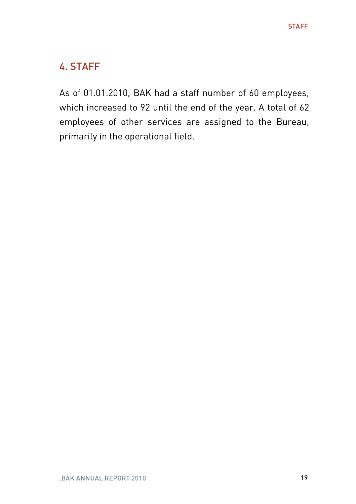# 4. STAFF

As of 01.01.2010, BAK had a staff number of 60 employees, which increased to 92 until the end of the year. A total of 62 employees of other services are assigned to the Bureau, primarily in the operational field.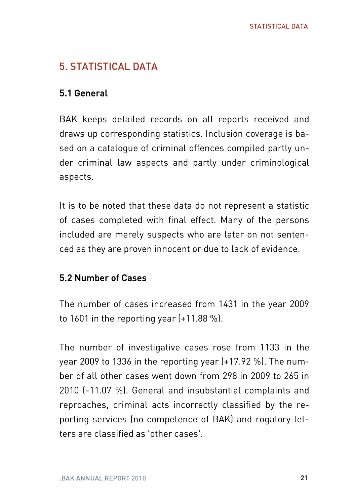# 5. STATISTICAL DATA

#### 5.1 General

BAK keeps detailed records on all reports received and draws up corresponding statistics. Inclusion coverage is based on a catalogue of criminal offences compiled partly under criminal law aspects and partly under criminological aspects.

It is to be noted that these data do not represent a statistic of cases completed with final effect. Many of the persons included are merely suspects who are later on not sentenced as they are proven innocent or due to lack of evidence.

#### 5.2 Number of Cases

The number of cases increased from 1431 in the year 2009 to 1601 in the reporting year (+11.88 %).

The number of investigative cases rose from 1133 in the year 2009 to 1336 in the reporting year (+17.92 %). The number of all other cases went down from 298 in 2009 to 265 in 2010 (-11.07 %). General and insubstantial complaints and reproaches, criminal acts incorrectly classified by the reporting services (no competence of BAK) and rogatory letters are classified as 'other cases'.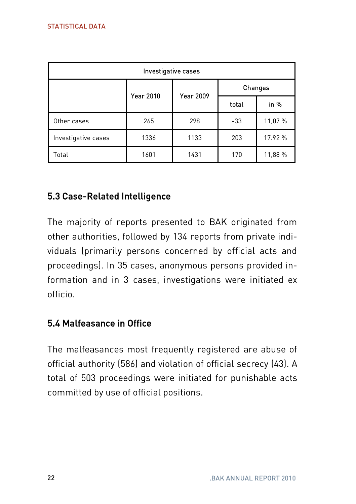| Investigative cases |                  |                  |                |         |  |  |  |  |
|---------------------|------------------|------------------|----------------|---------|--|--|--|--|
|                     | <b>Year 2010</b> | <b>Year 2009</b> | <b>Changes</b> |         |  |  |  |  |
|                     |                  |                  | total          | in %    |  |  |  |  |
| Other cases         | 265              | 298              | $-33$          | 11,07 % |  |  |  |  |
| Investigative cases | 1336             | 1133             | 203            | 17.92 % |  |  |  |  |
| Total               | 1601             | 1431             | 170            | 11,88 % |  |  |  |  |

# 5.3 Case-Related Intelligence

The majority of reports presented to BAK originated from other authorities, followed by 134 reports from private individuals (primarily persons concerned by official acts and proceedings). In 35 cases, anonymous persons provided information and in 3 cases, investigations were initiated ex officio.

## 5.4 Malfeasance in Office

The malfeasances most frequently registered are abuse of official authority (586) and violation of official secrecy (43). A total of 503 proceedings were initiated for punishable acts committed by use of official positions.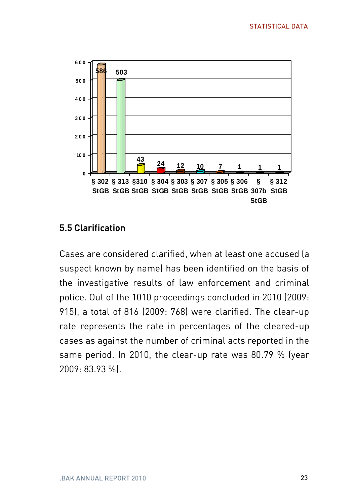

## 5.5 Clarification

Cases are considered clarified, when at least one accused (a suspect known by name) has been identified on the basis of the investigative results of law enforcement and criminal police. Out of the 1010 proceedings concluded in 2010 (2009: 915), a total of 816 (2009: 768) were clarified. The clear-up rate represents the rate in percentages of the cleared-up cases as against the number of criminal acts reported in the same period. In 2010, the clear-up rate was 80.79 % (year 2009: 83.93 %).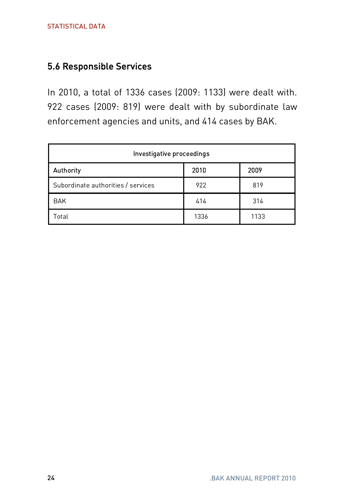#### 5.6 Responsible Services

In 2010, a total of 1336 cases (2009: 1133) were dealt with. 922 cases (2009: 819) were dealt with by subordinate law enforcement agencies and units, and 414 cases by BAK.

| Investigative proceedings          |      |      |  |  |  |  |
|------------------------------------|------|------|--|--|--|--|
| Authority                          | 2010 | 2009 |  |  |  |  |
| Subordinate authorities / services | 922  | 819  |  |  |  |  |
| <b>BAK</b>                         | 414  | 314  |  |  |  |  |
| Total                              | 1336 | 1133 |  |  |  |  |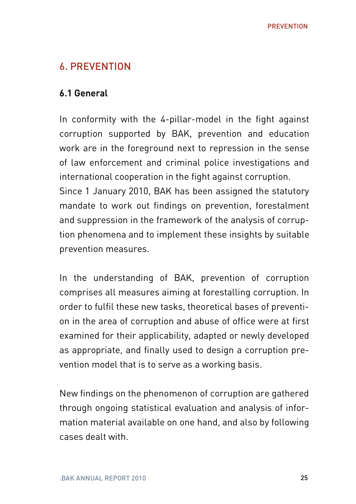## 6. PREVENTION

#### 6.1 General

In conformity with the 4-pillar-model in the fight against corruption supported by BAK, prevention and education work are in the foreground next to repression in the sense of law enforcement and criminal police investigations and international cooperation in the fight against corruption. Since 1 January 2010, BAK has been assigned the statutory mandate to work out findings on prevention, forestalment and suppression in the framework of the analysis of corruption phenomena and to implement these insights by suitable prevention measures.

In the understanding of BAK, prevention of corruption comprises all measures aiming at forestalling corruption. In order to fulfil these new tasks, theoretical bases of prevention in the area of corruption and abuse of office were at first examined for their applicability, adapted or newly developed as appropriate, and finally used to design a corruption prevention model that is to serve as a working basis.

New findings on the phenomenon of corruption are gathered through ongoing statistical evaluation and analysis of information material available on one hand, and also by following cases dealt with.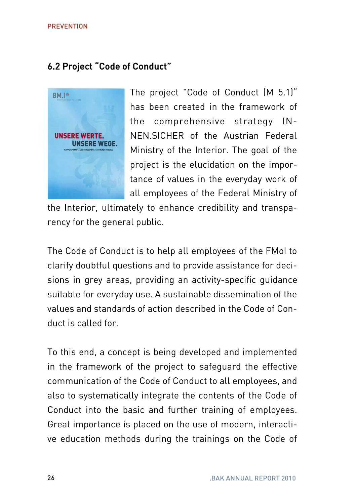## 6.2 Project "Code of Conduct"



The project "Code of Conduct (M 5.1)" has been created in the framework of the comprehensive strategy IN-NEN.SICHER of the Austrian Federal Ministry of the Interior. The goal of the project is the elucidation on the importance of values in the everyday work of all employees of the Federal Ministry of

the Interior, ultimately to enhance credibility and transparency for the general public.

The Code of Conduct is to help all employees of the FMoI to clarify doubtful questions and to provide assistance for decisions in grey areas, providing an activity-specific guidance suitable for everyday use. A sustainable dissemination of the values and standards of action described in the Code of Conduct is called for.

To this end, a concept is being developed and implemented in the framework of the project to safeguard the effective communication of the Code of Conduct to all employees, and also to systematically integrate the contents of the Code of Conduct into the basic and further training of employees. Great importance is placed on the use of modern, interactive education methods during the trainings on the Code of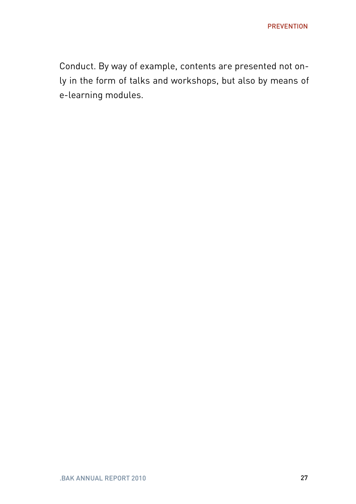Conduct. By way of example, contents are presented not only in the form of talks and workshops, but also by means of e-learning modules.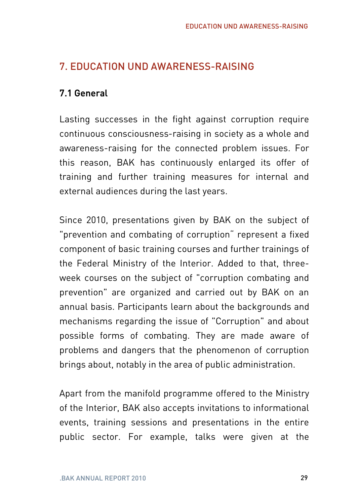# 7. EDUCATION UND AWARENESS-RAISING

## 7.1 General

Lasting successes in the fight against corruption require continuous consciousness-raising in society as a whole and awareness-raising for the connected problem issues. For this reason, BAK has continuously enlarged its offer of training and further training measures for internal and external audiences during the last years.

Since 2010, presentations given by BAK on the subject of "prevention and combating of corruption" represent a fixed component of basic training courses and further trainings of the Federal Ministry of the Interior. Added to that, threeweek courses on the subject of "corruption combating and prevention" are organized and carried out by BAK on an annual basis. Participants learn about the backgrounds and mechanisms regarding the issue of "Corruption" and about possible forms of combating. They are made aware of problems and dangers that the phenomenon of corruption brings about, notably in the area of public administration.

Apart from the manifold programme offered to the Ministry of the Interior, BAK also accepts invitations to informational events, training sessions and presentations in the entire public sector. For example, talks were given at the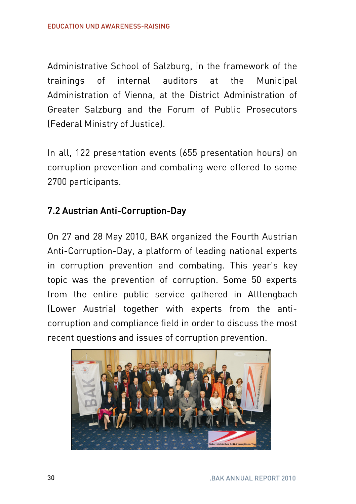Administrative School of Salzburg, in the framework of the trainings of internal auditors at the Municipal Administration of Vienna, at the District Administration of Greater Salzburg and the Forum of Public Prosecutors (Federal Ministry of Justice).

In all, 122 presentation events (655 presentation hours) on corruption prevention and combating were offered to some 2700 participants.

# 7.2 Austrian Anti-Corruption-Day

On 27 and 28 May 2010, BAK organized the Fourth Austrian Anti-Corruption-Day, a platform of leading national experts in corruption prevention and combating. This year's key topic was the prevention of corruption. Some 50 experts from the entire public service gathered in Altlengbach (Lower Austria) together with experts from the anticorruption and compliance field in order to discuss the most recent questions and issues of corruption prevention.

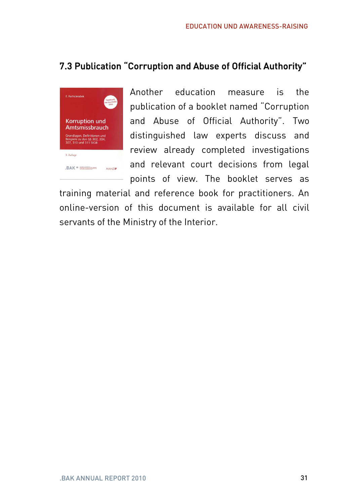# 7.3 Publication "Corruption and Abuse of Official Authority"



Another education measure is the publication of a booklet named "Corruption and Abuse of Official Authority". Two distinguished law experts discuss and review already completed investigations and relevant court decisions from legal points of view. The booklet serves as

training material and reference book for practitioners. An online-version of this document is available for all civil servants of the Ministry of the Interior.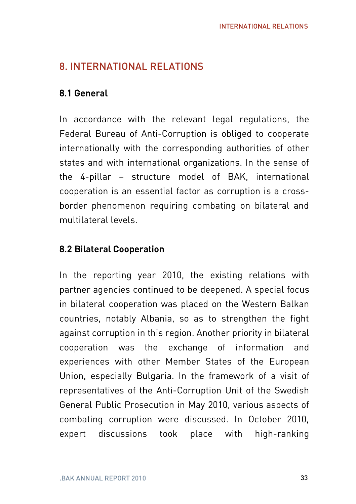# 8. INTERNATIONAL RELATIONS

# 8.1 General

In accordance with the relevant legal regulations, the Federal Bureau of Anti-Corruption is obliged to cooperate internationally with the corresponding authorities of other states and with international organizations. In the sense of the 4-pillar – structure model of BAK, international cooperation is an essential factor as corruption is a crossborder phenomenon requiring combating on bilateral and multilateral levels.

# 8.2 Bilateral Cooperation

In the reporting year 2010, the existing relations with partner agencies continued to be deepened. A special focus in bilateral cooperation was placed on the Western Balkan countries, notably Albania, so as to strengthen the fight against corruption in this region. Another priority in bilateral cooperation was the exchange of information and experiences with other Member States of the European Union, especially Bulgaria. In the framework of a visit of representatives of the Anti-Corruption Unit of the Swedish General Public Prosecution in May 2010, various aspects of combating corruption were discussed. In October 2010, expert discussions took place with high-ranking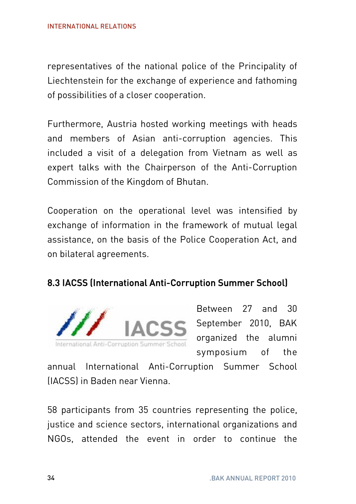representatives of the national police of the Principality of Liechtenstein for the exchange of experience and fathoming of possibilities of a closer cooperation.

Furthermore, Austria hosted working meetings with heads and members of Asian anti-corruption agencies. This included a visit of a delegation from Vietnam as well as expert talks with the Chairperson of the Anti-Corruption Commission of the Kingdom of Bhutan.

Cooperation on the operational level was intensified by exchange of information in the framework of mutual legal assistance, on the basis of the Police Cooperation Act, and on bilateral agreements.

#### 8.3 IACSS (International Anti-Corruption Summer School)



Between 27 and 30 September 2010, BAK organized the alumni symposium of the

annual International Anti-Corruption Summer School (IACSS) in Baden near Vienna.

58 participants from 35 countries representing the police, justice and science sectors, international organizations and NGOs, attended the event in order to continue the